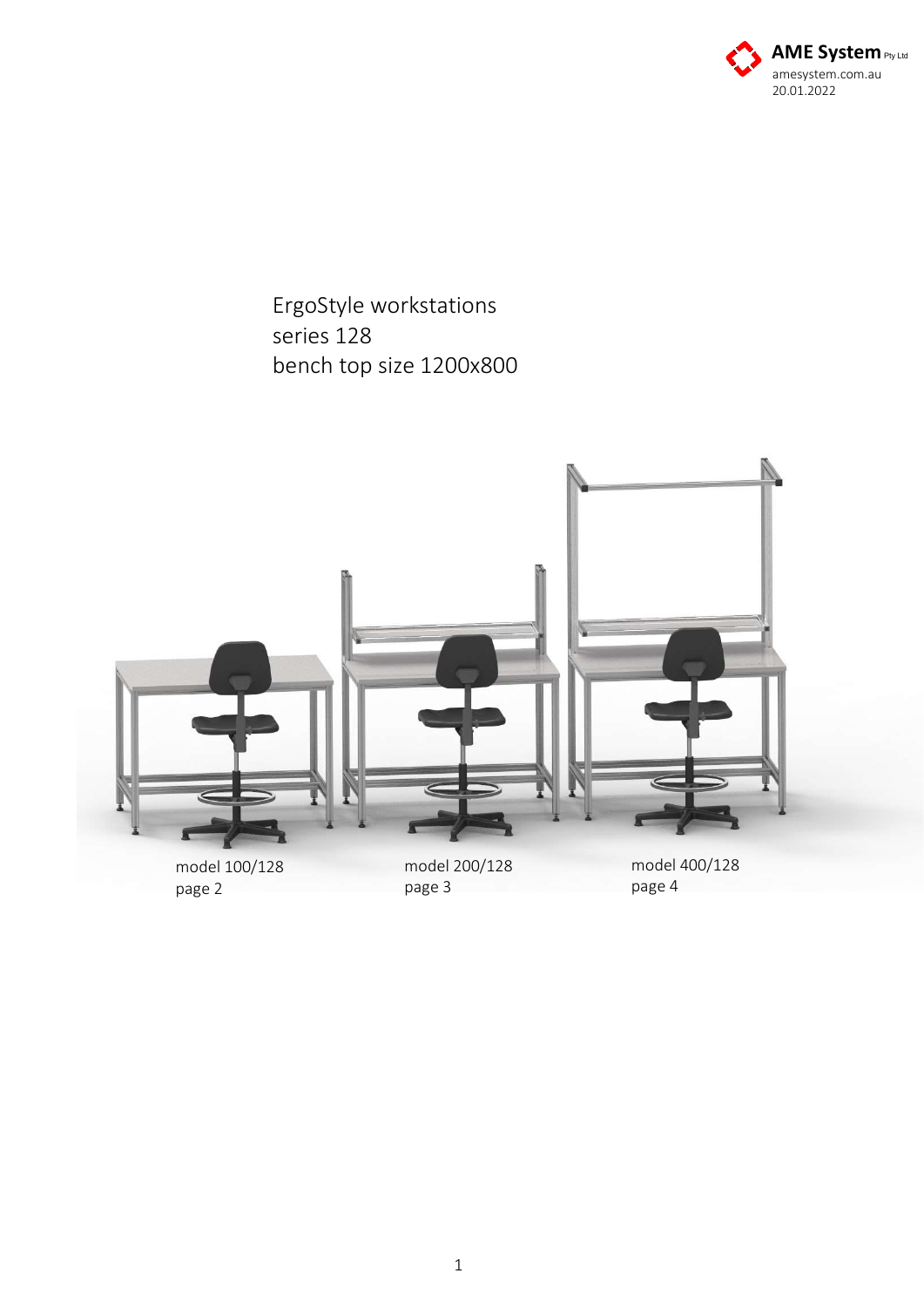

ErgoStyle workstations series 128 bench top size 1200x800



model 100/128 page 2

model 200/128 page 3

model 400/128 page 4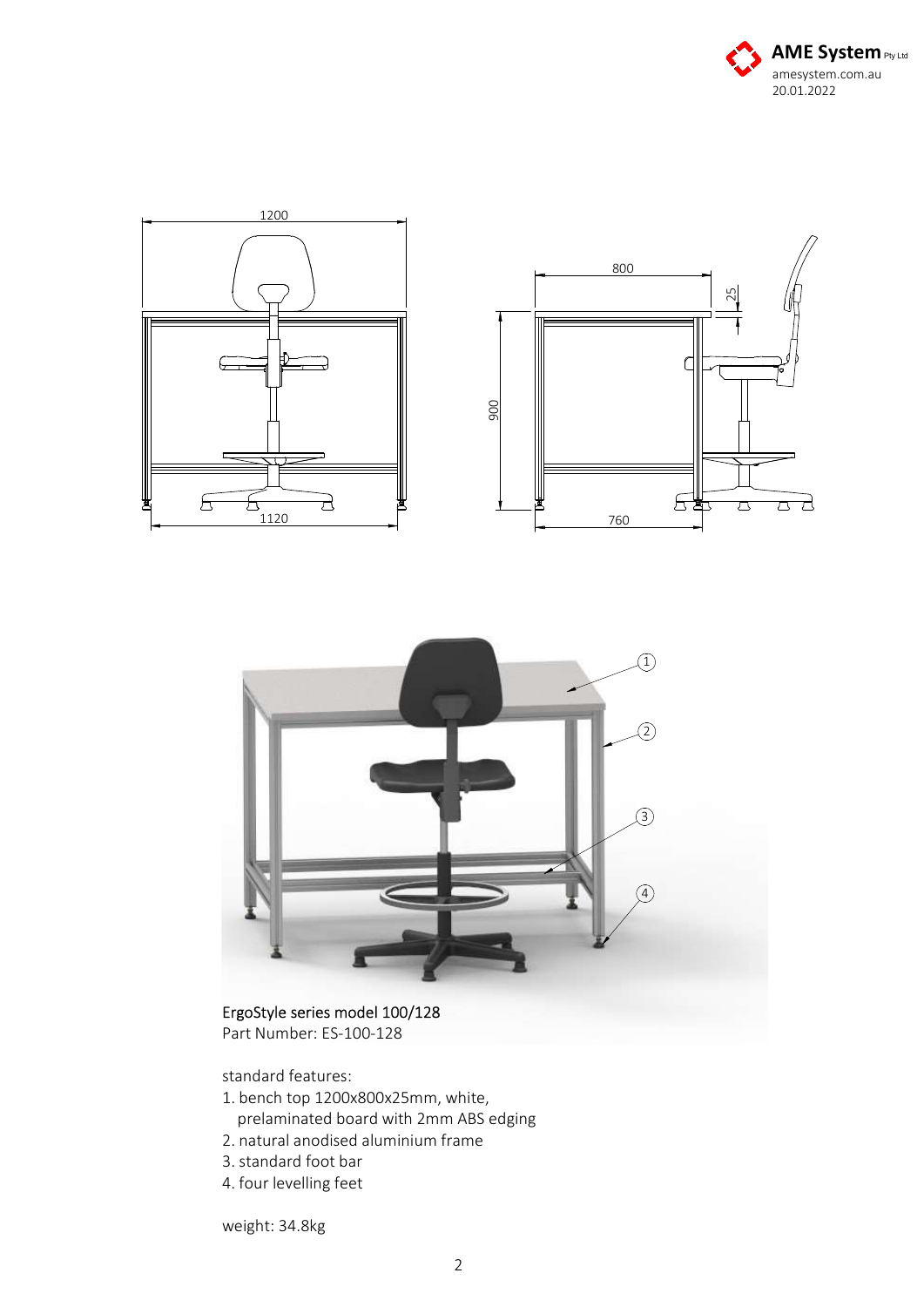





## ErgoStyle series model 100/128

Part Number: ES-100-128

standard features:

- 1. bench top 1200x800x25mm, white, prelaminated board with 2mm ABS edging
- 2. natural anodised aluminium frame
- 3. standard foot bar
- 4. four levelling feet

weight: 34.8kg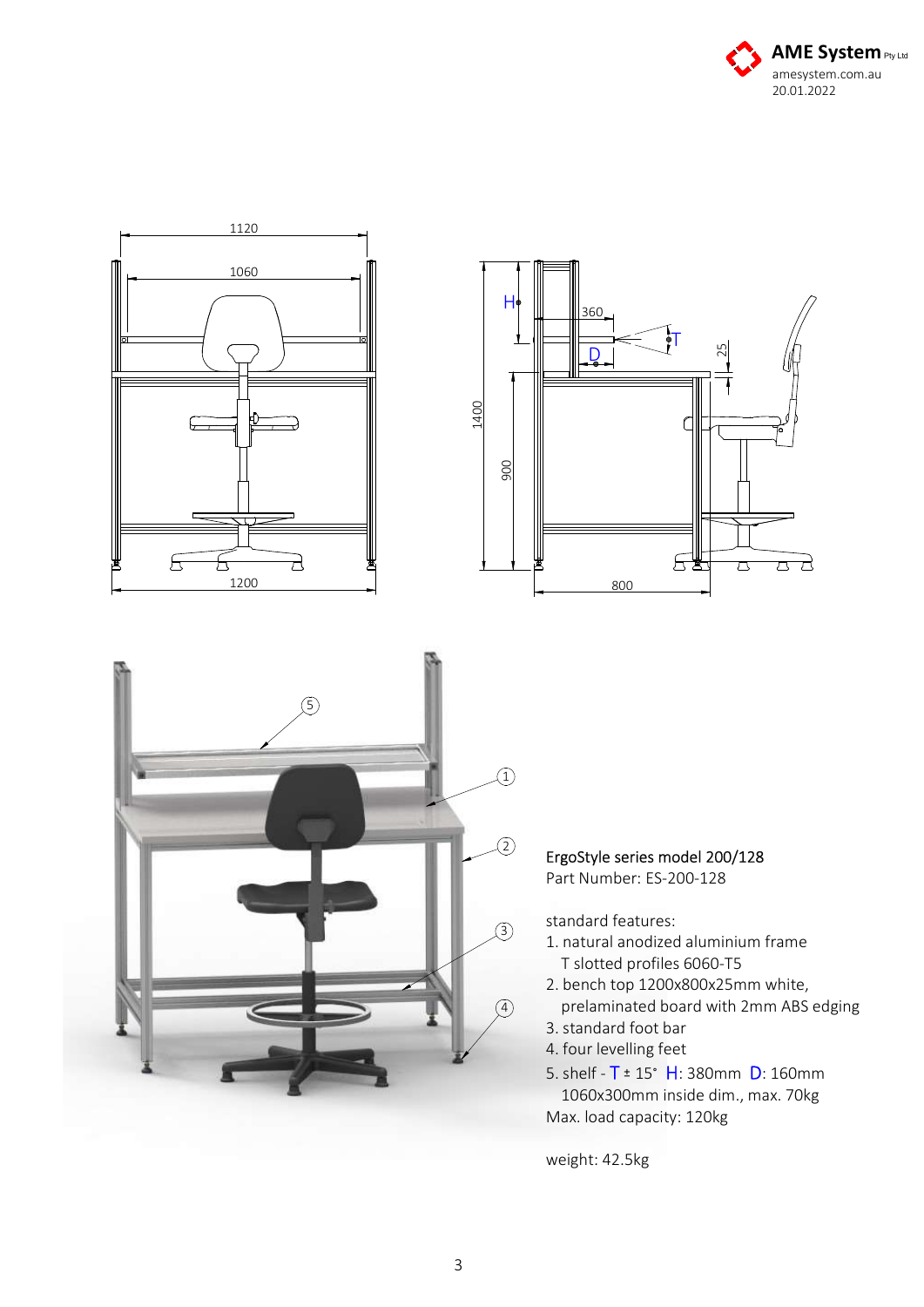



weight: 42.5kg